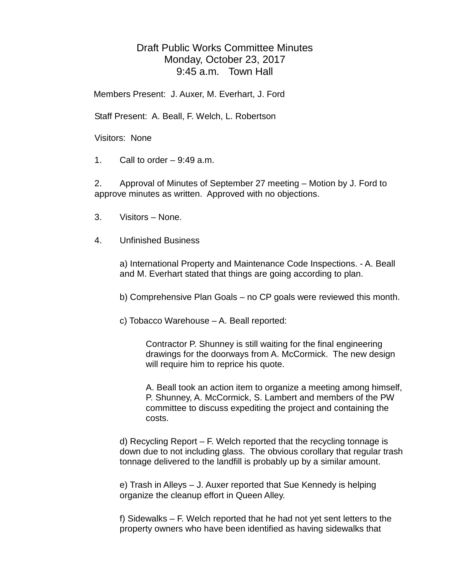## Draft Public Works Committee Minutes Monday, October 23, 2017 9:45 a.m. Town Hall

Members Present: J. Auxer, M. Everhart, J. Ford

Staff Present: A. Beall, F. Welch, L. Robertson

Visitors: None

1. Call to order  $-9:49$  a.m.

2. Approval of Minutes of September 27 meeting – Motion by J. Ford to approve minutes as written. Approved with no objections.

- 3. Visitors None.
- 4. Unfinished Business

a) International Property and Maintenance Code Inspections. - A. Beall and M. Everhart stated that things are going according to plan.

b) Comprehensive Plan Goals – no CP goals were reviewed this month.

c) Tobacco Warehouse – A. Beall reported:

Contractor P. Shunney is still waiting for the final engineering drawings for the doorways from A. McCormick. The new design will require him to reprice his quote.

A. Beall took an action item to organize a meeting among himself, P. Shunney, A. McCormick, S. Lambert and members of the PW committee to discuss expediting the project and containing the costs.

d) Recycling Report – F. Welch reported that the recycling tonnage is down due to not including glass. The obvious corollary that regular trash tonnage delivered to the landfill is probably up by a similar amount.

e) Trash in Alleys – J. Auxer reported that Sue Kennedy is helping organize the cleanup effort in Queen Alley.

f) Sidewalks – F. Welch reported that he had not yet sent letters to the property owners who have been identified as having sidewalks that